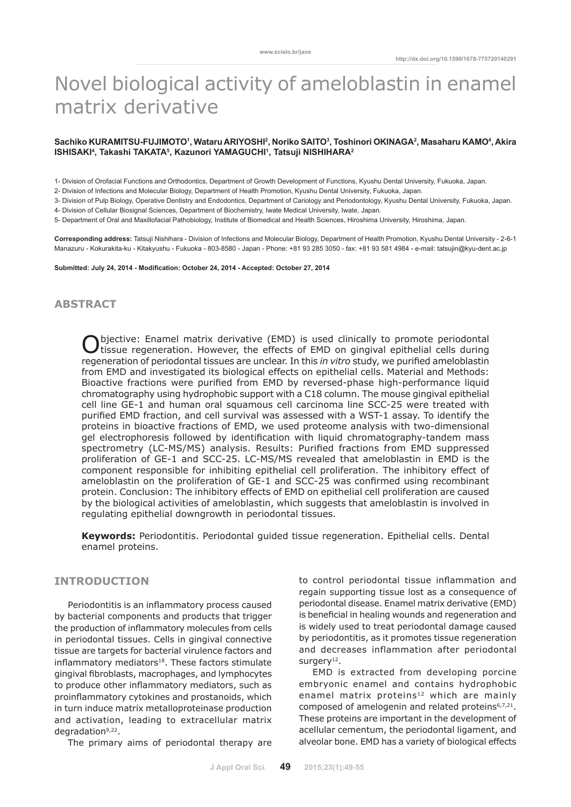# Novel biological activity of ameloblastin in enamel matrix derivative

#### $\boldsymbol{\mathsf{S}}$ achiko KURAMITSU-FUJIMOTO', Wataru ARIYOSHI<del>'</del>, Noriko SAITO<sup>3</sup>, Toshinori OKINAGA<sup>2</sup>, Masaharu KAMO<del>'</del>, Akira **ISHISAKI4 , Takashi TAKATA5 , Kazunori YAMAGUCHI1 , Tatsuji NISHIHARA2**

1- Division of Orofacial Functions and Orthodontics, Department of Growth Development of Functions, Kyushu Dental University, Fukuoka, Japan.

2- Division of Infections and Molecular Biology, Department of Health Promotion, Kyushu Dental University, Fukuoka, Japan.

3- Division of Pulp Biology, Operative Dentistry and Endodontics, Department of Cariology and Periodontology, Kyushu Dental University, Fukuoka, Japan.

4- Division of Cellular Biosignal Sciences, Department of Biochemistry, Iwate Medical University, Iwate, Japan.

5- Department of Oral and Maxillofacial Pathobiology, Institute of Biomedical and Health Sciences, Hiroshima University, Hiroshima, Japan.

**Corresponding address:** Tatsuji Nishihara - Division of Infections and Molecular Biology, Department of Health Promotion, Kyushu Dental University - 2-6-1 Manazuru - Kokurakita-ku - Kitakyushu - Fukuoka - 803-8580 - Japan - Phone: +81 93 285 3050 - fax: +81 93 581 4984 - e-mail: tatsujin@kyu-dent.ac.jp

**Submitted: July 24, 2014 - Modification: October 24, 2014 - Accepted: October 27, 2014**

# **ABSTRACT**

Objective: Enamel matrix derivative (EMD) is used clinically to promote periodontal<br>Otissue regeneration. However, the effects of EMD on gingival epithelial cells during regeneration of periodontal tissues are unclear. In this *in vitro* study, we purified ameloblastin from EMD and investigated its biological effects on epithelial cells. Material and Methods: Bioactive fractions were purified from EMD by reversed-phase high-performance liquid chromatography using hydrophobic support with a C18 column. The mouse gingival epithelial cell line GE-1 and human oral squamous cell carcinoma line SCC-25 were treated with purified EMD fraction, and cell survival was assessed with a WST-1 assay. To identify the proteins in bioactive fractions of EMD, we used proteome analysis with two-dimensional gel electrophoresis followed by identification with liquid chromatography-tandem mass spectrometry (LC-MS/MS) analysis. Results: Purified fractions from EMD suppressed proliferation of GE-1 and SCC-25. LC-MS/MS revealed that ameloblastin in EMD is the component responsible for inhibiting epithelial cell proliferation. The inhibitory effect of ameloblastin on the proliferation of GE-1 and SCC-25 was confirmed using recombinant protein. Conclusion: The inhibitory effects of EMD on epithelial cell proliferation are caused by the biological activities of ameloblastin, which suggests that ameloblastin is involved in regulating epithelial downgrowth in periodontal tissues.

**Keywords:** Periodontitis. Periodontal guided tissue regeneration. Epithelial cells. Dental enamel proteins.

## **INTRODUCTION**

Periodontitis is an inflammatory process caused by bacterial components and products that trigger the production of inflammatory molecules from cells in periodontal tissues. Cells in gingival connective tissue are targets for bacterial virulence factors and inflammatory mediators<sup>18</sup>. These factors stimulate gingival fibroblasts, macrophages, and lymphocytes to produce other inflammatory mediators, such as proinflammatory cytokines and prostanoids, which in turn induce matrix metalloproteinase production and activation, leading to extracellular matrix degradation<sup>9,22</sup>.

The primary aims of periodontal therapy are

to control periodontal tissue inflammation and regain supporting tissue lost as a consequence of periodontal disease. Enamel matrix derivative (EMD) is beneficial in healing wounds and regeneration and is widely used to treat periodontal damage caused by periodontitis, as it promotes tissue regeneration and decreases inflammation after periodontal surgery<sup>12</sup>.

EMD is extracted from developing porcine embryonic enamel and contains hydrophobic enamel matrix proteins<sup>12</sup> which are mainly composed of amelogenin and related proteins<sup>6,7,21</sup>. These proteins are important in the development of acellular cementum, the periodontal ligament, and alveolar bone. EMD has a variety of biological effects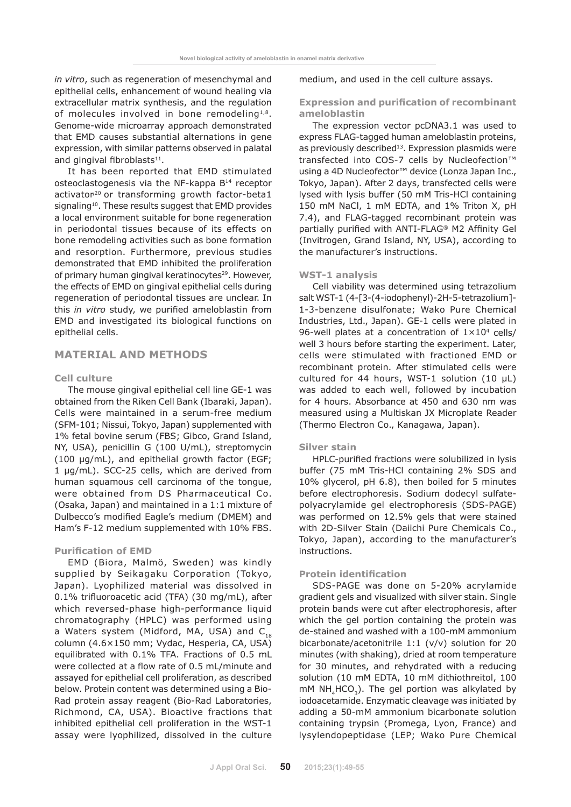*in vitro*, such as regeneration of mesenchymal and epithelial cells, enhancement of wound healing via extracellular matrix synthesis, and the regulation of molecules involved in bone remodeling<sup>1,8</sup>. Genome-wide microarray approach demonstrated that EMD causes substantial alternations in gene expression, with similar patterns observed in palatal and gingival fibroblasts<sup>11</sup>.

It has been reported that EMD stimulated osteoclastogenesis via the NF-kappa B14 receptor activator<sup>20</sup> or transforming growth factor-beta1 signaling<sup>10</sup>. These results suggest that EMD provides a local environment suitable for bone regeneration in periodontal tissues because of its effects on bone remodeling activities such as bone formation and resorption. Furthermore, previous studies demonstrated that EMD inhibited the proliferation of primary human gingival keratinocytes<sup>29</sup>. However, the effects of EMD on gingival epithelial cells during regeneration of periodontal tissues are unclear. In this *in vitro* study, we purified ameloblastin from EMD and investigated its biological functions on epithelial cells.

# **MATERIAL AND METHODS**

#### **Cell culture**

The mouse gingival epithelial cell line GE-1 was obtained from the Riken Cell Bank (Ibaraki, Japan). Cells were maintained in a serum-free medium (SFM-101; Nissui, Tokyo, Japan) supplemented with 1% fetal bovine serum (FBS; Gibco, Grand Island, NY, USA), penicillin G (100 U/mL), streptomycin (100 μg/mL), and epithelial growth factor (EGF; 1 μg/mL). SCC-25 cells, which are derived from human squamous cell carcinoma of the tongue, were obtained from DS Pharmaceutical Co. (Osaka, Japan) and maintained in a 1:1 mixture of Dulbecco's modified Eagle's medium (DMEM) and Ham's F-12 medium supplemented with 10% FBS.

#### **Purification of EMD**

EMD (Biora, Malmö, Sweden) was kindly supplied by Seikagaku Corporation (Tokyo, Japan). Lyophilized material was dissolved in 0.1% trifluoroacetic acid (TFA) (30 mg/mL), after which reversed-phase high-performance liquid chromatography (HPLC) was performed using a Waters system (Midford, MA, USA) and  $C_{18}$ column (4.6×150 mm; Vydac, Hesperia, CA, USA) equilibrated with 0.1% TFA. Fractions of 0.5 mL were collected at a flow rate of 0.5 mL/minute and assayed for epithelial cell proliferation, as described below. Protein content was determined using a Bio-Rad protein assay reagent (Bio-Rad Laboratories, Richmond, CA, USA). Bioactive fractions that inhibited epithelial cell proliferation in the WST-1 assay were lyophilized, dissolved in the culture medium, and used in the cell culture assays.

## **Expression and purification of recombinant ameloblastin**

The expression vector pcDNA3.1 was used to express FLAG-tagged human ameloblastin proteins, as previously described<sup>13</sup>. Expression plasmids were transfected into COS-7 cells by Nucleofection™ using a 4D Nucleofector™ device (Lonza Japan Inc., Tokyo, Japan). After 2 days, transfected cells were lysed with lysis buffer (50 mM Tris-HCl containing 150 mM NaCl, 1 mM EDTA, and 1% Triton X, pH 7.4), and FLAG-tagged recombinant protein was partially purified with ANTI-FLAG® M2 Affinity Gel (Invitrogen, Grand Island, NY, USA), according to the manufacturer's instructions.

#### **WST-1 analysis**

Cell viability was determined using tetrazolium salt WST-1 (4-[3-(4-iodophenyl)-2H-5-tetrazolium]- 1-3-benzene disulfonate; Wako Pure Chemical Industries, Ltd., Japan). GE-1 cells were plated in 96-well plates at a concentration of  $1 \times 10^4$  cells/ well 3 hours before starting the experiment. Later, cells were stimulated with fractioned EMD or recombinant protein. After stimulated cells were cultured for 44 hours, WST-1 solution (10 μL) was added to each well, followed by incubation for 4 hours. Absorbance at 450 and 630 nm was measured using a Multiskan JX Microplate Reader (Thermo Electron Co., Kanagawa, Japan).

### **Silver stain**

HPLC-purified fractions were solubilized in lysis buffer (75 mM Tris-HCl containing 2% SDS and 10% glycerol, pH 6.8), then boiled for 5 minutes before electrophoresis. Sodium dodecyl sulfatepolyacrylamide gel electrophoresis (SDS-PAGE) was performed on 12.5% gels that were stained with 2D-Silver Stain (Daiichi Pure Chemicals Co., Tokyo, Japan), according to the manufacturer's instructions.

#### **Protein identification**

SDS-PAGE was done on 5-20% acrylamide gradient gels and visualized with silver stain. Single protein bands were cut after electrophoresis, after which the gel portion containing the protein was de-stained and washed with a 100-mM ammonium bicarbonate/acetonitrile 1:1 (v/v) solution for 20 minutes (with shaking), dried at room temperature for 30 minutes, and rehydrated with a reducing solution (10 mM EDTA, 10 mM dithiothreitol, 100 mM NH.HCO<sub>3</sub>). The gel portion was alkylated by iodoacetamide. Enzymatic cleavage was initiated by adding a 50-mM ammonium bicarbonate solution containing trypsin (Promega, Lyon, France) and lysylendopeptidase (LEP; Wako Pure Chemical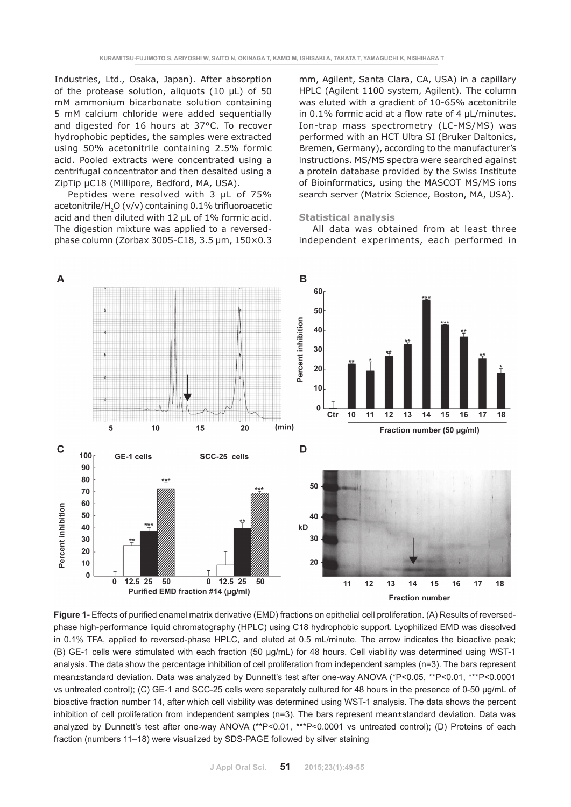Industries, Ltd., Osaka, Japan). After absorption of the protease solution, aliquots  $(10 \mu L)$  of 50 mM ammonium bicarbonate solution containing 5 mM calcium chloride were added sequentially and digested for 16 hours at 37°C. To recover hydrophobic peptides, the samples were extracted using 50% acetonitrile containing 2.5% formic acid. Pooled extracts were concentrated using a centrifugal concentrator and then desalted using a ZipTip µC18 (Millipore, Bedford, MA, USA).

Peptides were resolved with 3 µL of 75% acetonitrile/H<sub>2</sub>O ( $v/v$ ) containing 0.1% trifluoroacetic acid and then diluted with 12 µL of 1% formic acid. The digestion mixture was applied to a reversedphase column (Zorbax 300S-C18, 3.5 µm, 150×0.3 mm, Agilent, Santa Clara, CA, USA) in a capillary HPLC (Agilent 1100 system, Agilent). The column was eluted with a gradient of 10-65% acetonitrile in 0.1% formic acid at a flow rate of 4 µL/minutes. Ion-trap mass spectrometry (LC-MS/MS) was performed with an HCT Ultra SI (Bruker Daltonics, Bremen, Germany), according to the manufacturer's instructions. MS/MS spectra were searched against a protein database provided by the Swiss Institute of Bioinformatics, using the MASCOT MS/MS ions search server (Matrix Science, Boston, MA, USA).

#### **Statistical analysis**

All data was obtained from at least three independent experiments, each performed in



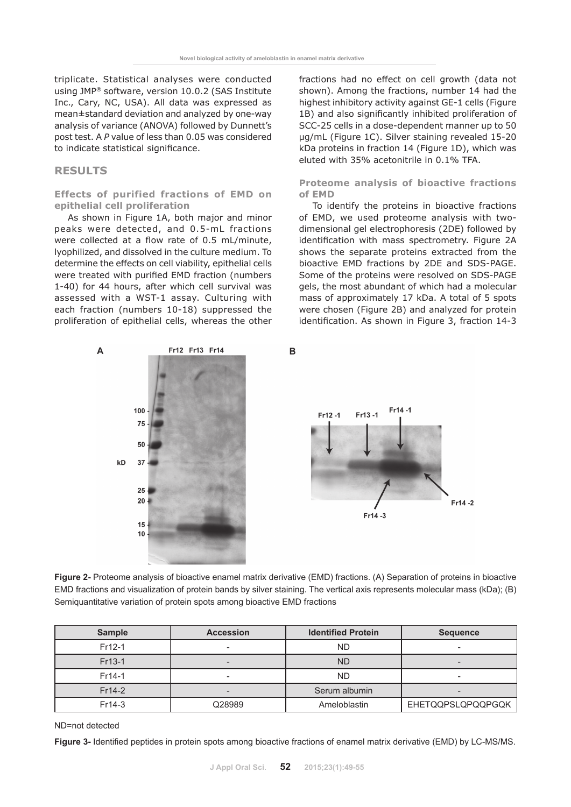triplicate. Statistical analyses were conducted using JMP® software, version 10.0.2 (SAS Institute Inc., Cary, NC, USA). All data was expressed as mean±standard deviation and analyzed by one-way analysis of variance (ANOVA) followed by Dunnett's post test. A *P* value of less than 0.05 was considered to indicate statistical significance.

# **RESULTS**

# **Effects of purified fractions of EMD on epithelial cell proliferation**

As shown in Figure 1A, both major and minor peaks were detected, and 0.5-mL fractions were collected at a flow rate of 0.5 mL/minute, lyophilized, and dissolved in the culture medium. To determine the effects on cell viability, epithelial cells were treated with purified EMD fraction (numbers 1-40) for 44 hours, after which cell survival was assessed with a WST-1 assay. Culturing with each fraction (numbers 10-18) suppressed the proliferation of epithelial cells, whereas the other fractions had no effect on cell growth (data not shown). Among the fractions, number 14 had the highest inhibitory activity against GE-1 cells (Figure 1B) and also significantly inhibited proliferation of SCC-25 cells in a dose-dependent manner up to 50 µg/mL (Figure 1C). Silver staining revealed 15-20 kDa proteins in fraction 14 (Figure 1D), which was eluted with 35% acetonitrile in 0.1% TFA.

## **Proteome analysis of bioactive fractions of EMD**

To identify the proteins in bioactive fractions of EMD, we used proteome analysis with twodimensional gel electrophoresis (2DE) followed by identification with mass spectrometry. Figure 2A shows the separate proteins extracted from the bioactive EMD fractions by 2DE and SDS-PAGE. Some of the proteins were resolved on SDS-PAGE gels, the most abundant of which had a molecular mass of approximately 17 kDa. A total of 5 spots were chosen (Figure 2B) and analyzed for protein identification. As shown in Figure 3, fraction 14-3



**Figure 2-** Proteome analysis of bioactive enamel matrix derivative (EMD) fractions. (A) Separation of proteins in bioactive EMD fractions and visualization of protein bands by silver staining. The vertical axis represents molecular mass (kDa); (B) Semiquantitative variation of protein spots among bioactive EMD fractions

| <b>Sample</b> | <b>Accession</b> | <b>Identified Protein</b> | <b>Sequence</b>          |
|---------------|------------------|---------------------------|--------------------------|
| Fr12-1        |                  | <b>ND</b>                 | $\overline{\phantom{0}}$ |
| Fr13-1        |                  | <b>ND</b>                 | $\overline{\phantom{0}}$ |
| Fr14-1        |                  | <b>ND</b>                 | $\overline{\phantom{0}}$ |
| $Fr14-2$      |                  | Serum albumin             |                          |
| Fr14-3        | Q28989           | Ameloblastin              | <b>EHETQQPSLQPQQPGQK</b> |

#### ND=not detected

**Figure 3-** Identified peptides in protein spots among bioactive fractions of enamel matrix derivative (EMD) by LC-MS/MS.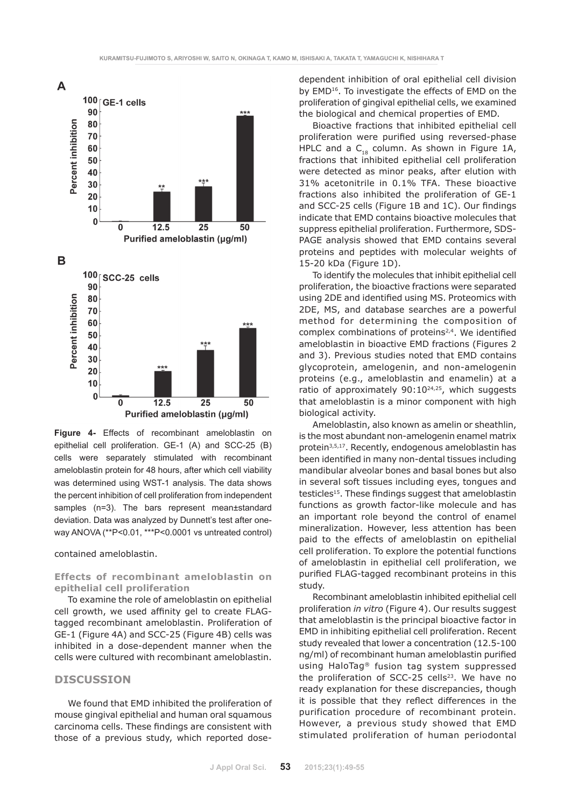

**Figure 4-** Effects of recombinant ameloblastin on epithelial cell proliferation. GE-1 (A) and SCC-25 (B) cells were separately stimulated with recombinant ameloblastin protein for 48 hours, after which cell viability was determined using WST-1 analysis. The data shows the percent inhibition of cell proliferation from independent samples (n=3). The bars represent mean±standard deviation. Data was analyzed by Dunnett's test after oneway ANOVA (\*\*P<0.01, \*\*\*P<0.0001 vs untreated control)

contained ameloblastin.

## **Effects of recombinant ameloblastin on epithelial cell proliferation**

To examine the role of ameloblastin on epithelial cell growth, we used affinity gel to create FLAGtagged recombinant ameloblastin. Proliferation of GE-1 (Figure 4A) and SCC-25 (Figure 4B) cells was inhibited in a dose-dependent manner when the cells were cultured with recombinant ameloblastin.

# **DISCUSSION**

We found that EMD inhibited the proliferation of mouse gingival epithelial and human oral squamous carcinoma cells. These findings are consistent with those of a previous study, which reported dosedependent inhibition of oral epithelial cell division by EMD<sup>16</sup>. To investigate the effects of EMD on the proliferation of gingival epithelial cells, we examined the biological and chemical properties of EMD.

Bioactive fractions that inhibited epithelial cell proliferation were purified using reversed-phase HPLC and a  $C_{18}$  column. As shown in Figure 1A, fractions that inhibited epithelial cell proliferation were detected as minor peaks, after elution with 31% acetonitrile in 0.1% TFA. These bioactive fractions also inhibited the proliferation of GE-1 and SCC-25 cells (Figure 1B and 1C). Our findings indicate that EMD contains bioactive molecules that suppress epithelial proliferation. Furthermore, SDS-PAGE analysis showed that EMD contains several proteins and peptides with molecular weights of 15-20 kDa (Figure 1D).

To identify the molecules that inhibit epithelial cell proliferation, the bioactive fractions were separated using 2DE and identified using MS. Proteomics with 2DE, MS, and database searches are a powerful method for determining the composition of complex combinations of proteins<sup>2,4</sup>. We identified ameloblastin in bioactive EMD fractions (Figures 2 and 3). Previous studies noted that EMD contains glycoprotein, amelogenin, and non-amelogenin proteins (e.g., ameloblastin and enamelin) at a ratio of approximately 90:10<sup>24,25</sup>, which suggests that ameloblastin is a minor component with high biological activity.

Ameloblastin, also known as amelin or sheathlin, is the most abundant non-amelogenin enamel matrix protein3,5,17. Recently, endogenous ameloblastin has been identified in many non-dental tissues including mandibular alveolar bones and basal bones but also in several soft tissues including eyes, tongues and testicles<sup>15</sup>. These findings suggest that ameloblastin functions as growth factor-like molecule and has an important role beyond the control of enamel mineralization. However, less attention has been paid to the effects of ameloblastin on epithelial cell proliferation. To explore the potential functions of ameloblastin in epithelial cell proliferation, we purified FLAG-tagged recombinant proteins in this study.

Recombinant ameloblastin inhibited epithelial cell proliferation *in vitro* (Figure 4). Our results suggest that ameloblastin is the principal bioactive factor in EMD in inhibiting epithelial cell proliferation. Recent study revealed that lower a concentration (12.5-100 ng/ml) of recombinant human ameloblastin purified using HaloTag® fusion tag system suppressed the proliferation of SCC-25 cells<sup>23</sup>. We have no ready explanation for these discrepancies, though it is possible that they reflect differences in the purification procedure of recombinant protein. However, a previous study showed that EMD stimulated proliferation of human periodontal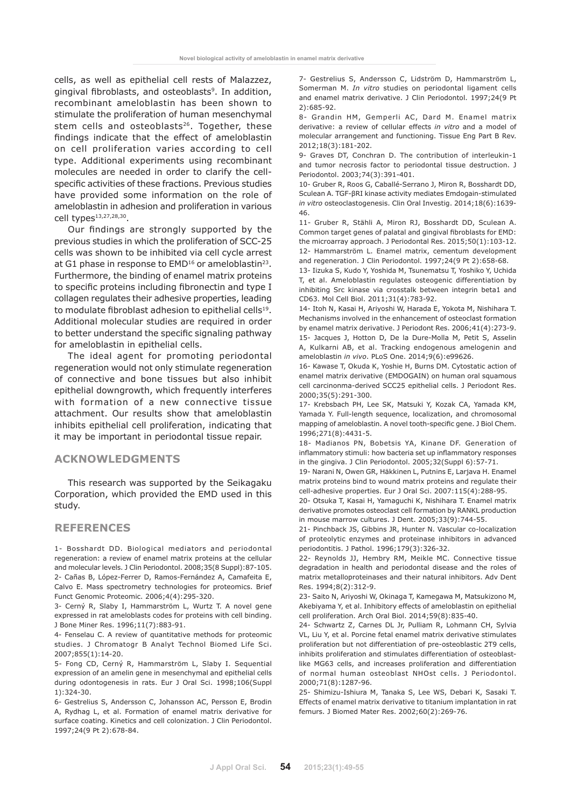cells, as well as epithelial cell rests of Malazzez, gingival fibroblasts, and osteoblasts<sup>9</sup>. In addition, recombinant ameloblastin has been shown to stimulate the proliferation of human mesenchymal stem cells and osteoblasts<sup>26</sup>. Together, these findings indicate that the effect of ameloblastin on cell proliferation varies according to cell type. Additional experiments using recombinant molecules are needed in order to clarify the cellspecific activities of these fractions. Previous studies have provided some information on the role of ameloblastin in adhesion and proliferation in various cell types<sup>13,27,28,30</sup>.

Our findings are strongly supported by the previous studies in which the proliferation of SCC-25 cells was shown to be inhibited via cell cycle arrest at G1 phase in response to EMD<sup>16</sup> or ameloblastin<sup>23</sup>. Furthermore, the binding of enamel matrix proteins to specific proteins including fibronectin and type I collagen regulates their adhesive properties, leading to modulate fibroblast adhesion to epithelial cells<sup>19</sup>. Additional molecular studies are required in order to better understand the specific signaling pathway for ameloblastin in epithelial cells.

The ideal agent for promoting periodontal regeneration would not only stimulate regeneration of connective and bone tissues but also inhibit epithelial downgrowth, which frequently interferes with formation of a new connective tissue attachment. Our results show that ameloblastin inhibits epithelial cell proliferation, indicating that it may be important in periodontal tissue repair.

# **ACKNOWLEDGMENTS**

This research was supported by the Seikagaku Corporation, which provided the EMD used in this study.

#### **REFERENCES**

1- Bosshardt DD. Biological mediators and periodontal regeneration: a review of enamel matrix proteins at the cellular and molecular levels. J Clin Periodontol. 2008;35(8 Suppl):87-105. 2- Cañas B, López-Ferrer D, Ramos-Fernández A, Camafeita E, Calvo E. Mass spectrometry technologies for proteomics. Brief Funct Genomic Proteomic. 2006;4(4):295-320.

3- Cerný R, Slaby I, Hammarström L, Wurtz T. A novel gene expressed in rat ameloblasts codes for proteins with cell binding. J Bone Miner Res. 1996;11(7):883-91.

4- Fenselau C. A review of quantitative methods for proteomic studies. J Chromatogr B Analyt Technol Biomed Life Sci. 2007;855(1):14-20.

5- Fong CD, Cerný R, Hammarström L, Slaby I. Sequential expression of an amelin gene in mesenchymal and epithelial cells during odontogenesis in rats. Eur J Oral Sci. 1998;106(Suppl 1):324-30.

6- Gestrelius S, Andersson C, Johansson AC, Persson E, Brodin A, Rydhag L, et al. Formation of enamel matrix derivative for surface coating. Kinetics and cell colonization. J Clin Periodontol. 1997;24(9 Pt 2):678-84.

7- Gestrelius S, Andersson C, Lidström D, Hammarström L, Somerman M. *In vitro* studies on periodontal ligament cells and enamel matrix derivative. J Clin Periodontol. 1997;24(9 Pt 2):685-92.

8- Grandin HM, Gemperli AC, Dard M. Enamel matrix derivative: a review of cellular effects *in vitro* and a model of molecular arrangement and functioning. Tissue Eng Part B Rev. 2012;18(3):181-202.

9- Graves DT, Conchran D. The contribution of interleukin-1 and tumor necrosis factor to periodontal tissue destruction. J Periodontol. 2003;74(3):391-401.

10- Gruber R, Roos G, Caballé-Serrano J, Miron R, Bosshardt DD, Sculean A. TGF-βRI kinase activity mediates Emdogain-stimulated *in vitro* osteoclastogenesis. Clin Oral Investig. 2014;18(6):1639- 46.

11- Gruber R, Stähli A, Miron RJ, Bosshardt DD, Sculean A. Common target genes of palatal and gingival fibroblasts for EMD: the microarray approach. J Periodontal Res. 2015;50(1):103-12. 12- Hammarström L. Enamel matrix, cementum development and regeneration. J Clin Periodontol. 1997;24(9 Pt 2):658-68.

13- Iizuka S, Kudo Y, Yoshida M, Tsunematsu T, Yoshiko Y, Uchida T, et al. Ameloblastin regulates osteogenic differentiation by inhibiting Src kinase via crosstalk between integrin beta1 and CD63. Mol Cell Biol. 2011;31(4):783-92.

14- Itoh N, Kasai H, Ariyoshi W, Harada E, Yokota M, Nishihara T. Mechanisms involved in the enhancement of osteoclast formation by enamel matrix derivative. J Periodont Res. 2006;41(4):273-9. 15- Jacques J, Hotton D, De la Dure-Molla M, Petit S, Asselin A, Kulkarni AB, et al. Tracking endogenous amelogenin and ameloblastin *in vivo*. PLoS One. 2014;9(6):e99626.

16- Kawase T, Okuda K, Yoshie H, Burns DM. Cytostatic action of enamel matrix derivative (EMDOGAIN) on human oral squamous cell carcinonma-derived SCC25 epithelial cells. J Periodont Res. 2000;35(5):291-300.

17- Krebsbach PH, Lee SK, Matsuki Y, Kozak CA, Yamada KM, Yamada Y. Full-length sequence, localization, and chromosomal mapping of ameloblastin. A novel tooth-specific gene. J Biol Chem. 1996;271(8):4431-5.

18- Madianos PN, Bobetsis YA, Kinane DF. Generation of inflammatory stimuli: how bacteria set up inflammatory responses in the gingiva. J Clin Periodontol. 2005;32(Suppl 6):57-71.

19- Narani N, Owen GR, Häkkinen L, Putnins E, Larjava H. Enamel matrix proteins bind to wound matrix proteins and regulate their cell-adhesive properties. Eur J Oral Sci. 2007:115(4):288-95.

20- Otsuka T, Kasai H, Yamaguchi K, Nishihara T. Enamel matrix derivative promotes osteoclast cell formation by RANKL production in mouse marrow cultures. J Dent. 2005;33(9):744-55.

21- Pinchback JS, Gibbins JR, Hunter N. Vascular co-localization of proteolytic enzymes and proteinase inhibitors in advanced periodontitis. J Pathol. 1996;179(3):326-32.

22- Reynolds JJ, Hembry RM, Meikle MC. Connective tissue degradation in health and periodontal disease and the roles of matrix metalloproteinases and their natural inhibitors. Adv Dent Res. 1994;8(2):312-9.

23- Saito N, Ariyoshi W, Okinaga T, Kamegawa M, Matsukizono M, Akebiyama Y, et al. Inhibitory effects of ameloblastin on epithelial cell proliferation. Arch Oral Biol. 2014;59(8):835-40.

24- Schwartz Z, Carnes DL Jr, Pulliam R, Lohmann CH, Sylvia VL, Liu Y, et al. Porcine fetal enamel matrix derivative stimulates proliferation but not differentiation of pre-osteoblastic 2T9 cells, inhibits proliferation and stimulates differentiation of osteoblastlike MG63 cells, and increases proliferation and differentiation of normal human osteoblast NHOst cells. J Periodontol. 2000;71(8):1287-96.

25- Shimizu-Ishiura M, Tanaka S, Lee WS, Debari K, Sasaki T. Effects of enamel matrix derivative to titanium implantation in rat femurs. J Biomed Mater Res. 2002;60(2):269-76.